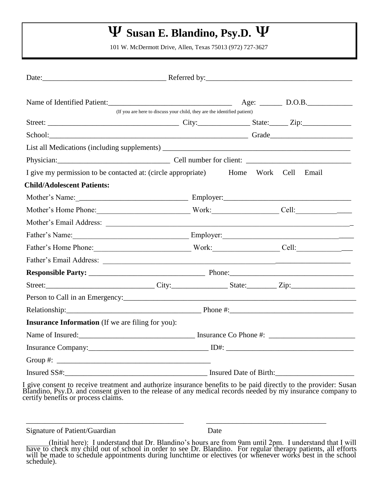# **Ψ Susan E. Blandino, Psy.D. Ψ**

101 W. McDermott Drive, Allen, Texas 75013 (972) 727-3627

| Name of Identified Patient:<br>(If you are here to discuss your child, they are the identified patient) |                                    |  |  |  |  |  |
|---------------------------------------------------------------------------------------------------------|------------------------------------|--|--|--|--|--|
|                                                                                                         |                                    |  |  |  |  |  |
| School: Grade Grade Grade Grade Grade Grade Grade Grade Grade Grade Contractor of the School:           |                                    |  |  |  |  |  |
|                                                                                                         |                                    |  |  |  |  |  |
|                                                                                                         |                                    |  |  |  |  |  |
| I give my permission to be contacted at: (circle appropriate) Home Work Cell Email                      |                                    |  |  |  |  |  |
| <b>Child/Adolescent Patients:</b>                                                                       |                                    |  |  |  |  |  |
|                                                                                                         |                                    |  |  |  |  |  |
| Mother's Home Phone: Work: Cell: Cell: Cell:                                                            |                                    |  |  |  |  |  |
|                                                                                                         |                                    |  |  |  |  |  |
|                                                                                                         | Father's Name: Employer: Employer: |  |  |  |  |  |
| Father's Home Phone: Work: Cell: Cell:                                                                  |                                    |  |  |  |  |  |
|                                                                                                         |                                    |  |  |  |  |  |
|                                                                                                         |                                    |  |  |  |  |  |
|                                                                                                         |                                    |  |  |  |  |  |
| Person to Call in an Emergency:                                                                         |                                    |  |  |  |  |  |
|                                                                                                         |                                    |  |  |  |  |  |
| <b>Insurance Information</b> (If we are filing for you):                                                |                                    |  |  |  |  |  |
|                                                                                                         |                                    |  |  |  |  |  |
|                                                                                                         |                                    |  |  |  |  |  |
|                                                                                                         |                                    |  |  |  |  |  |
|                                                                                                         |                                    |  |  |  |  |  |

I give consent to receive treatment and authorize insurance benefits to be paid directly to the provider: Susan Blandino, Psy.D. and consent given to the release of any medical records needed by my insurance company to certify benefits or process claims.

\_\_\_\_\_\_\_\_\_\_\_\_\_\_\_\_\_\_\_\_\_\_\_\_\_\_\_\_\_\_\_\_\_\_\_\_\_\_\_\_\_\_ \_\_\_\_\_\_\_\_\_\_\_\_\_\_\_\_\_\_\_\_\_\_\_\_\_\_\_\_\_\_\_\_

Signature of Patient/Guardian Date

 <sup>(</sup>Initial here): I understand that Dr. Blandino's hours are from 9am until 2pm. I understand that I will have to check my child out of school in order to see Dr. Blandino. For regular therapy patients, all efforts will be made to schedule appointments during lunchtime or electives (or whenever works best in the school schedule).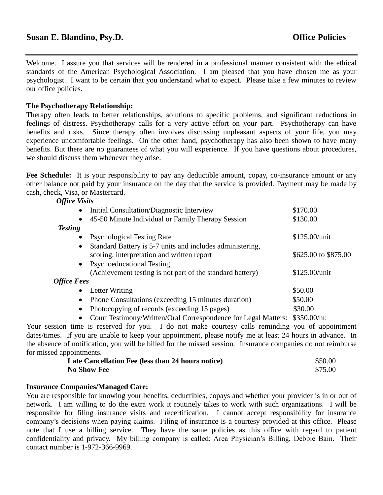Welcome. I assure you that services will be rendered in a professional manner consistent with the ethical standards of the American Psychological Association. I am pleased that you have chosen me as your psychologist. I want to be certain that you understand what to expect. Please take a few minutes to review our office policies.

### **The Psychotherapy Relationship:**

Therapy often leads to better relationships, solutions to specific problems, and significant reductions in feelings of distress. Psychotherapy calls for a very active effort on your part. Psychotherapy can have benefits and risks. Since therapy often involves discussing unpleasant aspects of your life, you may experience uncomfortable feelings. On the other hand, psychotherapy has also been shown to have many benefits. But there are no guarantees of what you will experience. If you have questions about procedures, we should discuss them whenever they arise.

Fee Schedule: It is your responsibility to pay any deductible amount, copay, co-insurance amount or any other balance not paid by your insurance on the day that the service is provided. Payment may be made by cash, check, Visa, or Mastercard.

#### *Office Visits*

|                    | Initial Consultation/Diagnostic Interview<br>$\bullet$                 | \$170.00             |
|--------------------|------------------------------------------------------------------------|----------------------|
|                    | 45-50 Minute Individual or Family Therapy Session<br>$\bullet$         | \$130.00             |
| <b>Testing</b>     |                                                                        |                      |
|                    | <b>Psychological Testing Rate</b><br>$\bullet$                         | $$125.00/$ unit      |
|                    | Standard Battery is 5-7 units and includes administering,<br>$\bullet$ |                      |
|                    | scoring, interpretation and written report                             | \$625.00 to \$875.00 |
|                    | <b>Psychoeducational Testing</b><br>$\bullet$                          |                      |
|                    | (Achievement testing is not part of the standard battery)              | $$125.00/$ unit      |
| <b>Office Fees</b> |                                                                        |                      |
|                    | Letter Writing<br>$\bullet$                                            | \$50.00              |
|                    | Phone Consultations (exceeding 15 minutes duration)<br>$\bullet$       | \$50.00              |
|                    | Photocopying of records (exceeding 15 pages)<br>$\bullet$              | \$30.00              |
|                    |                                                                        |                      |

• Court Testimony/Written/Oral Correspondence for Legal Matters: \$350.00/hr.

Your session time is reserved for you. I do not make courtesy calls reminding you of appointment dates/times. If you are unable to keep your appointment, please notify me at least 24 hours in advance. In the absence of notification, you will be billed for the missed session. Insurance companies do not reimburse for missed appointments.

| Late Cancellation Fee (less than 24 hours notice) | \$50.00 |
|---------------------------------------------------|---------|
| <b>No Show Fee</b>                                | \$75.00 |

#### **Insurance Companies/Managed Care:**

You are responsible for knowing your benefits, deductibles, copays and whether your provider is in or out of network. I am willing to do the extra work it routinely takes to work with such organizations. I will be responsible for filing insurance visits and recertification. I cannot accept responsibility for insurance company's decisions when paying claims. Filing of insurance is a courtesy provided at this office. Please note that I use a billing service. They have the same policies as this office with regard to patient confidentiality and privacy. My billing company is called: Area Physician's Billing, Debbie Bain. Their contact number is 1-972-366-9969.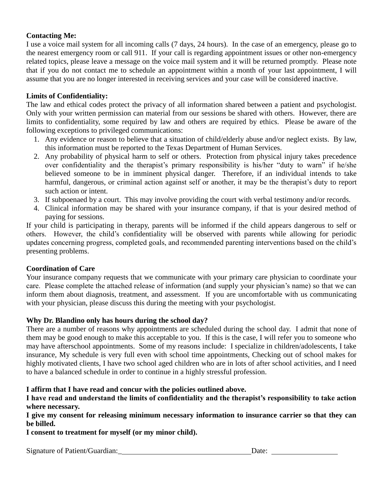### **Contacting Me:**

I use a voice mail system for all incoming calls (7 days, 24 hours). In the case of an emergency, please go to the nearest emergency room or call 911. If your call is regarding appointment issues or other non-emergency related topics, please leave a message on the voice mail system and it will be returned promptly. Please note that if you do not contact me to schedule an appointment within a month of your last appointment, I will assume that you are no longer interested in receiving services and your case will be considered inactive.

## **Limits of Confidentiality:**

The law and ethical codes protect the privacy of all information shared between a patient and psychologist. Only with your written permission can material from our sessions be shared with others. However, there are limits to confidentiality, some required by law and others are required by ethics. Please be aware of the following exceptions to privileged communications:

- 1. Any evidence or reason to believe that a situation of child/elderly abuse and/or neglect exists. By law, this information must be reported to the Texas Department of Human Services.
- 2. Any probability of physical harm to self or others. Protection from physical injury takes precedence over confidentiality and the therapist's primary responsibility is his/her "duty to warn" if he/she believed someone to be in imminent physical danger. Therefore, if an individual intends to take harmful, dangerous, or criminal action against self or another, it may be the therapist's duty to report such action or intent.
- 3. If subpoenaed by a court. This may involve providing the court with verbal testimony and/or records.
- 4. Clinical information may be shared with your insurance company, if that is your desired method of paying for sessions.

If your child is participating in therapy, parents will be informed if the child appears dangerous to self or others. However, the child's confidentiality will be observed with parents while allowing for periodic updates concerning progress, completed goals, and recommended parenting interventions based on the child's presenting problems.

### **Coordination of Care**

Your insurance company requests that we communicate with your primary care physician to coordinate your care. Please complete the attached release of information (and supply your physician's name) so that we can inform them about diagnosis, treatment, and assessment. If you are uncomfortable with us communicating with your physician, please discuss this during the meeting with your psychologist.

### **Why Dr. Blandino only has hours during the school day?**

There are a number of reasons why appointments are scheduled during the school day. I admit that none of them may be good enough to make this acceptable to you. If this is the case, I will refer you to someone who may have afterschool appointments. Some of my reasons include: I specialize in children/adolescents, I take insurance, My schedule is very full even with school time appointments, Checking out of school makes for highly motivated clients, I have two school aged children who are in lots of after school activities, and I need to have a balanced schedule in order to continue in a highly stressful profession.

### **I affirm that I have read and concur with the policies outlined above.**

**I have read and understand the limits of confidentiality and the therapist's responsibility to take action where necessary.**

**I give my consent for releasing minimum necessary information to insurance carrier so that they can be billed.** 

**I consent to treatment for myself (or my minor child).** 

Signature of Patient/Guardian: Date: Date: Date: Date: Date: Date: Date: Date: Date: Date: Date: Date: Date: Date: Date: Date: Date: Date: Date: Date: Date: Date: Date: Date: Date: Date: Date: Date: Date: Date: Date: Date: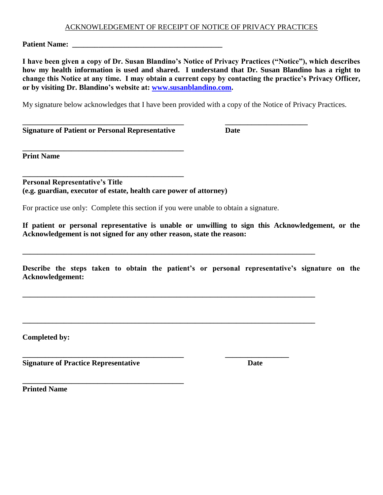#### ACKNOWLEDGEMENT OF RECEIPT OF NOTICE OF PRIVACY PRACTICES

**Patient Name: \_\_\_\_\_\_\_\_\_\_\_\_\_\_\_\_\_\_\_\_\_\_\_\_\_\_\_\_\_\_\_\_\_\_\_\_\_\_\_\_**

**I have been given a copy of Dr. Susan Blandino's Notice of Privacy Practices ("Notice"), which describes how my health information is used and shared. I understand that Dr. Susan Blandino has a right to change this Notice at any time. I may obtain a current copy by contacting the practice's Privacy Officer, or by visiting Dr. Blandino's website at: [www.susanblandino.com.](http://www.susanblandino.com/)** 

My signature below acknowledges that I have been provided with a copy of the Notice of Privacy Practices.

**\_\_\_\_\_\_\_\_\_\_\_\_\_\_\_\_\_\_\_\_\_\_\_\_\_\_\_\_\_\_\_\_\_\_\_\_\_\_\_\_\_\_\_ \_\_\_\_\_\_\_\_\_\_\_\_\_\_\_\_\_\_\_\_\_\_**

**Signature of Patient or Personal Representative Date**

**\_\_\_\_\_\_\_\_\_\_\_\_\_\_\_\_\_\_\_\_\_\_\_\_\_\_\_\_\_\_\_\_\_\_\_\_\_\_\_\_\_\_\_**

**Print Name**

**\_\_\_\_\_\_\_\_\_\_\_\_\_\_\_\_\_\_\_\_\_\_\_\_\_\_\_\_\_\_\_\_\_\_\_\_\_\_\_\_\_\_\_ Personal Representative's Title (e.g. guardian, executor of estate, health care power of attorney)**

For practice use only: Complete this section if you were unable to obtain a signature.

**\_\_\_\_\_\_\_\_\_\_\_\_\_\_\_\_\_\_\_\_\_\_\_\_\_\_\_\_\_\_\_\_\_\_\_\_\_\_\_\_\_\_\_\_\_\_\_\_\_\_\_\_\_\_\_\_\_\_\_\_\_\_\_\_\_\_\_\_\_\_\_\_\_\_\_\_\_\_**

**\_\_\_\_\_\_\_\_\_\_\_\_\_\_\_\_\_\_\_\_\_\_\_\_\_\_\_\_\_\_\_\_\_\_\_\_\_\_\_\_\_\_\_\_\_\_\_\_\_\_\_\_\_\_\_\_\_\_\_\_\_\_\_\_\_\_\_\_\_\_\_\_\_\_\_\_\_\_**

**\_\_\_\_\_\_\_\_\_\_\_\_\_\_\_\_\_\_\_\_\_\_\_\_\_\_\_\_\_\_\_\_\_\_\_\_\_\_\_\_\_\_\_\_\_\_\_\_\_\_\_\_\_\_\_\_\_\_\_\_\_\_\_\_\_\_\_\_\_\_\_\_\_\_\_\_\_\_**

**\_\_\_\_\_\_\_\_\_\_\_\_\_\_\_\_\_\_\_\_\_\_\_\_\_\_\_\_\_\_\_\_\_\_\_\_\_\_\_\_\_\_\_ \_\_\_\_\_\_\_\_\_\_\_\_\_\_\_\_\_**

**If patient or personal representative is unable or unwilling to sign this Acknowledgement, or the Acknowledgement is not signed for any other reason, state the reason:**

**Describe the steps taken to obtain the patient's or personal representative's signature on the Acknowledgement:**

**Completed by:**

**Signature of Practice Representative Date**

**\_\_\_\_\_\_\_\_\_\_\_\_\_\_\_\_\_\_\_\_\_\_\_\_\_\_\_\_\_\_\_\_\_\_\_\_\_\_\_\_\_\_\_**

**Printed Name**